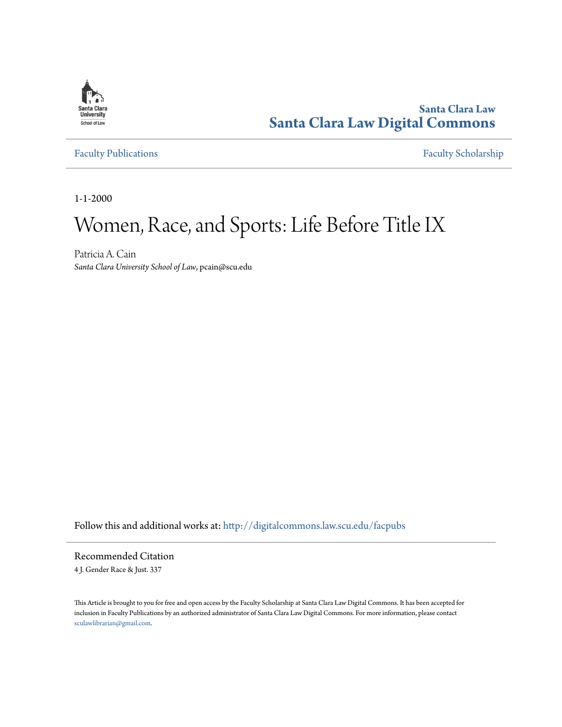

**Santa Clara Law [Santa Clara Law Digital Commons](http://digitalcommons.law.scu.edu?utm_source=digitalcommons.law.scu.edu%2Ffacpubs%2F252&utm_medium=PDF&utm_campaign=PDFCoverPages)**

[Faculty Publications](http://digitalcommons.law.scu.edu/facpubs?utm_source=digitalcommons.law.scu.edu%2Ffacpubs%2F252&utm_medium=PDF&utm_campaign=PDFCoverPages) [Faculty Scholarship](http://digitalcommons.law.scu.edu/faculty?utm_source=digitalcommons.law.scu.edu%2Ffacpubs%2F252&utm_medium=PDF&utm_campaign=PDFCoverPages)

1-1-2000

# Women, Race, and Sports: Life Before Title IX

Patricia A. Cain *Santa Clara University School of Law*, pcain@scu.edu

Follow this and additional works at: [http://digitalcommons.law.scu.edu/facpubs](http://digitalcommons.law.scu.edu/facpubs?utm_source=digitalcommons.law.scu.edu%2Ffacpubs%2F252&utm_medium=PDF&utm_campaign=PDFCoverPages)

Recommended Citation

4 J. Gender Race & Just. 337

This Article is brought to you for free and open access by the Faculty Scholarship at Santa Clara Law Digital Commons. It has been accepted for inclusion in Faculty Publications by an authorized administrator of Santa Clara Law Digital Commons. For more information, please contact [sculawlibrarian@gmail.com](mailto:sculawlibrarian@gmail.com).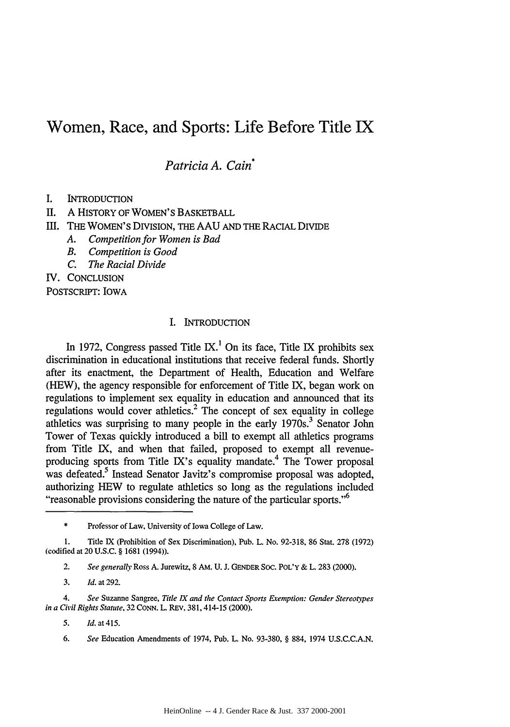# Women, Race, and Sports: Life Before Title IX

*Patricia A. Cain\**

- **I.** INTRODUCTION
- II. A HISTORY OF WOMEN'S BASKETBALL

II. THE WOMEN'S DIVISION, THE AAU AND THE RACIAL DIVIDE

- *A. Competition for Women is Bad*
- *B. Competition is Good*
- *C. The Racial Divide*

IV. CONCLUSION

POSTSCRIPT: IOWA

# I. INTRODUCTION

In 1972, Congress passed Title IX.<sup>1</sup> On its face, Title IX prohibits sex discrimination in educational institutions that receive federal funds. Shortly after its enactment, the Department of Health, Education and Welfare (HEW), the agency responsible for enforcement of Title IX, began work on regulations to implement sex equality in education and announced that its regulations would cover athletics.<sup>2</sup> The concept of sex equality in college athletics was surprising to many people in the early  $1970s^3$ . Senator John Tower of Texas quickly introduced a bill to exempt all athletics programs from Title IX, and when that failed, proposed to exempt all revenueproducing sports from Title IX's equality mandate.<sup>4</sup> The Tower proposal was defeated.<sup>5</sup> Instead Senator Javitz's compromise proposal was adopted, authorizing HEW to regulate athletics so long as the regulations included "reasonable provisions considering the nature of the particular sports."<sup>6</sup>

\* Professor of Law, University of Iowa College of Law.

1. Title IX (Prohibition of Sex Discrimination), Pub. L. No. 92-318, 86 Stat. 278 (1972) (codified at 20 U.S.C. § 1681 (1994)).

2. *See generally* Ross A. Jurewitz, 8 AM. U. J. **GENDER** SOC. POL'Y & L. 283 (2000).

*4. See* Suzanne Sangree, *Title* IX *and the Contact Sports Exemption: Gender Stereotypes in a Civil Rights Statute,* 32 CONN. L. REv. 381,414-15 (2000).

*5. Id. at* 415.

6. *See* Education Amendments of 1974, Pub. L. No. 93-380, § 884, 1974 U.S.C.C.A.N.

*<sup>3.</sup> Id.* at 292.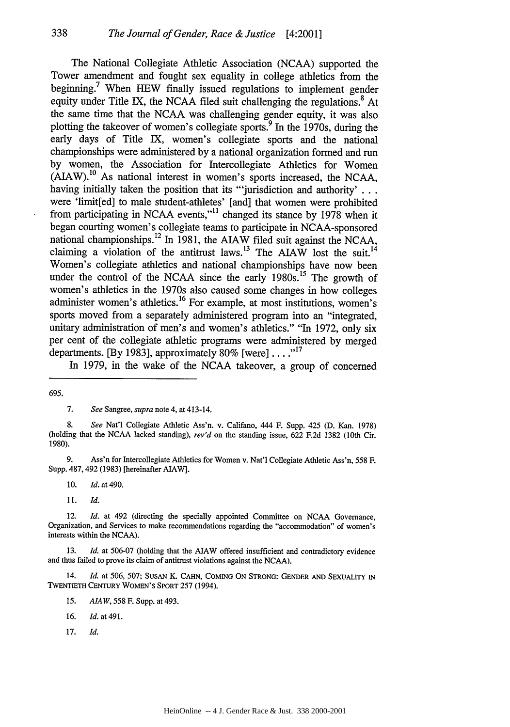The National Collegiate Athletic Association (NCAA) supported the Tower amendment and fought sex equality in college athletics from the beginning.<sup>7</sup> When HEW finally issued regulations to implement gender equity under Title IX, the NCAA filed suit challenging the regulations.<sup>8</sup> At the same time that the NCAA was challenging gender equity, it was also plotting the takeover of women's collegiate sports.9 In the 1970s, during the early days of Title IX, women's collegiate sports and the national championships were administered by a national organization formed and run by women, the Association for Intercollegiate Athletics for Women (AIAW).<sup>10</sup> As national interest in women's sports increased, the NCAA, having initially taken the position that its "'jurisdiction and authority' **...** were 'limit[ed] to male student-athletes' [and] that women were prohibited from participating in NCAA events,"<sup>11</sup> changed its stance by 1978 when it began courting women's collegiate teams to participate in NCAA-sponsored national championships.<sup>12</sup> In 1981, the AIAW filed suit against the NCAA, claiming a violation of the antitrust laws.<sup>13</sup> The AIAW lost the suit.<sup>14</sup> Women's collegiate athletics and national championships have now been under the control of the NCAA since the early  $1980s$ <sup>15</sup>. The growth of women's athletics in the 1970s also caused some changes in how colleges administer women's athletics.<sup>16</sup> For example, at most institutions, women's sports moved from a separately administered program into an "integrated, unitary administration of men's and women's athletics." "In 1972, only six per cent of the collegiate athletic programs were administered by merged departments. [By 1983], approximately  $80\%$  [were]  $\dots$ <sup>17</sup>

In 1979, in the wake of the NCAA takeover, a group of concerned

338

9. Ass'n for Intercollegiate Athletics for Women v. Nat'l Collegiate Athletic Ass'n, 558 F. Supp. 487, 492 (1983) [hereinafter AIAW].

10. *Id.* at 490.

11. *Id.*

12. *Id.* at 492 (directing the specially appointed Committee on NCAA Governance, Organization, and Services to make recommendations regarding the "accommodation" of women's interests within the NCAA).

13. *Id.* at 506-07 (holding that the AIAW offered insufficient and contradictory evidence and thus failed to prove its claim of antitrust violations against the NCAA).

14. *Id.* at 506, 507; SusAN **K. CAHN, COMING ON STRONG: GENDER AND** SEXUALITY IN TWENTIETH **CENTURY WOMEN'S** SPORT 257 (1994).

- *15. AIAW,* 558 F. Supp. at 493.
- **16.** *Id.* at 491.
- **17.** Id.

<sup>695.</sup>

<sup>7.</sup> *See* Sangree, *supra* note 4, at 413-14.

<sup>8.</sup> *See* Nat'l Collegiate Athletic Ass'n. v. Califano, 444 F. Supp. 425 (D. Kan. 1978) (holding that the NCAA lacked standing), *rev'd* on the standing issue, 622 F.2d 1382 (10th Cir. 1980).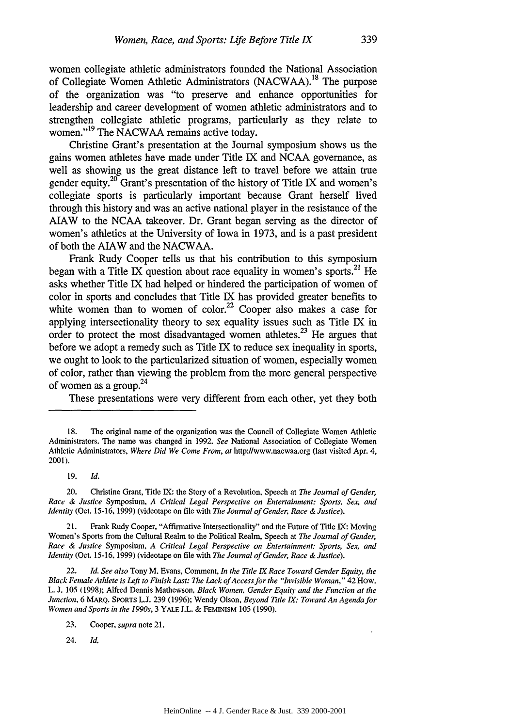women collegiate athletic administrators founded the National Association of Collegiate Women Athletic Administrators (NACWAA).<sup>18</sup> The purpose of the organization was "to preserve and enhance opportunities for leadership and career development of women athletic administrators and to strengthen collegiate athletic programs, particularly as they relate to women."<sup>19</sup> The NACWAA remains active today.

Christine Grant's presentation at the Journal symposium shows us the gains women athletes have made under Title IX and NCAA governance, as well as showing us the great distance left to travel before we attain true gender equity.<sup>20</sup> Grant's presentation of the history of Title IX and women's collegiate sports is particularly important because Grant herself lived through this history and was an active national player in the resistance of the AIAW to the NCAA takeover. Dr. Grant began serving as the director of women's athletics at the University of Iowa in 1973, and is a past president of both the AIAW and the NACWAA.

Frank Rudy Cooper tells us that his contribution to this symposium began with a Title IX question about race equality in women's sports.<sup>21</sup> He asks whether Title IX had helped or hindered the participation of women of color in sports and concludes that Title IX has provided greater benefits to white women than to women of  $\text{color}^2$ ? Cooper also makes a case for applying intersectionality theory to sex equality issues such as Title IX in order to protect the most disadvantaged women athletes.<sup>23</sup> He argues that before we adopt a remedy such as Title IX to reduce sex inequality in sports, we ought to look to the particularized situation of women, especially women of color, rather than viewing the problem from the more general perspective of women as a group. $24$ 

These presentations were very different from each other, yet they both

23. Cooper, supra note 21.

24. **Id.**

<sup>18.</sup> The original name of the organization was the Council of Collegiate Women Athletic Administrators. The name was changed in 1992. See National Association of Collegiate Women Athletic Administrators, Where Did We Come From, *at* http://www.nacwaa.org (last visited Apr. 4, *2001).*

<sup>19.</sup> **Id.**

<sup>20.</sup> Christine Grant, Title IX: the Story of a Revolution, Speech at The Journal of Gender, Race & Justice Symposium, A Critical Legal Perspective on Entertainment: Sports, Sex, and Identity (Oct. 15-16, 1999) (videotape on file with The Journal of Gender, Race & Justice).

<sup>21.</sup> Frank Rudy Cooper, "Affirmative Intersectionality" and the Future of Title IX: Moving Women's Sports from the Cultural Realm to the Political Realm, Speech at The Journal of Gender, Race & Justice Symposium, A Critical Legal Perspective on Entertainment: Sports, Sex, and Identity (Oct. 15-16, 1999) (videotape on file with The Journal of Gender, Race & Justice).

<sup>22.</sup> Id. See also Tony M. Evans, Comment, In the Title IX Race Toward Gender Equity, the Black Female Athlete is Left to Finish Last: The Lack of Access for the "Invisible Woman," 42 How. L. **J.** 105 (1998); Alfred Dennis Mathewson, Black Women, Gender Equiy and the Function at the Junction, 6 MARQ. SPORTs **L.J.** 239 (1996); Wendy Olson, Beyond Title IX. Toward An Agenda for Women and Sports in the 1990s, 3 YALE J.L. & **FEMINISM** 105 (1990).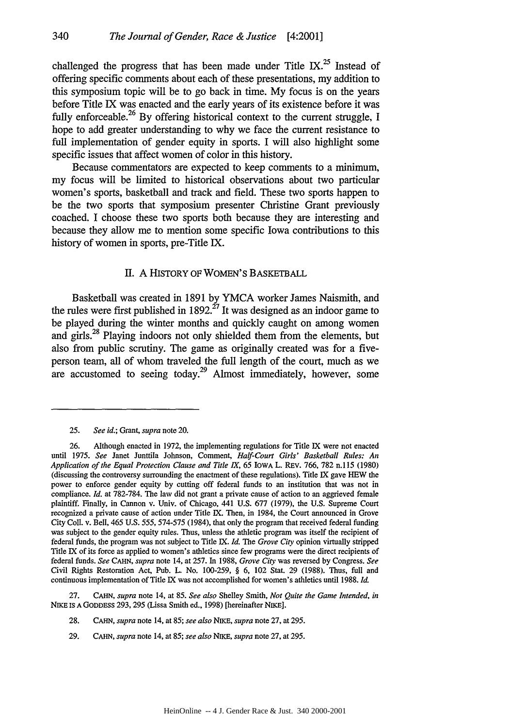challenged the progress that has been made under Title **IX.25** Instead of offering specific comments about each of these presentations, my addition to this symposium topic will be to go back in time. **My** focus is on the years before Title IX was enacted and the early years of its existence before it was fully enforceable. <sup>26</sup>**By** offering historical context to the current struggle, **I** hope to add greater understanding to why we face the current resistance to full implementation of gender equity in sports. I will also highlight some specific issues that affect women of color in this history.

Because commentators are expected to keep comments to a minimum, my focus will be limited to historical observations about two particular women's sports, basketball and track and field. These two sports happen to be the two sports that symposium presenter Christine Grant previously coached. I choose these two sports both because they are interesting and because they allow me to mention some specific Iowa contributions to this history of women in sports, pre-Title IX.

#### II. A HISTORY OF WOMEN'S BASKETBALL

Basketball was created in **1891 by** YMCA worker James Naismith, and the rules were first published in  $1892$ <sup>27</sup> It was designed as an indoor game to be played during the winter months and quickly caught on among women and girls.<sup>28</sup> Playing indoors not only shielded them from the elements, but also from public scrutiny. The game as originally created was for a fiveperson team, all of whom traveled the full length of the court, much as we are accustomed to seeing today.<sup>29</sup> Almost immediately, however, some

27. CAHN, *supra* note 14, at 85. *See also* Shelley Smith, *Not Quite the Game Intended, in* NIKE IS A GODDESS 293, 295 (Lissa Smith ed., 1998) [hereinafter NIKE].

- 28. CAHN, *supra* note 14, at *85; see also NIKE, supra* note 27, at 295.
- 29. *CAHN, supra* note 14, at 85; *see also NIKE, supra* note 27, at 295.

<sup>25.</sup> *See id.;* Grant, *supra* note 20.

<sup>26.</sup> Although enacted in 1972, the implementing regulations for Title IX were not enacted until 1975. *See* Janet Junttila Johnson, Comment, *Half-Court Girls' Basketball Rules: An Application of the Equal Protection Clause and Title IX, 65* IOwA L. REV. 766, 782 n.l **15** (1980) (discussing the controversy surrounding the enactment of these regulations). Title IX gave HEW the power to enforce gender equity **by** cutting off federal funds to an institution that was not in compliance. *Id.* at 782-784. The law did not grant a private cause of action to an aggrieved female plaintiff. Finally, in Cannon v. Univ. of Chicago, 441 U.S. 677 (1979), the U.S. Supreme Court recognized a private cause of action under Title IX. Then, in 1984, the Court announced in Grove City Coll. v. Bell, 465 U.S. *555,* 574-575 (1984), that only the program that received federal funding was subject to the gender equity rules. Thus, unless the athletic program was itself the recipient of federal funds, the program was not subject to Title IX. *Id. The Grove City* opinion virtually stripped Title IX of its force as applied to women's athletics since few programs were the direct recipients of federal funds. *See* CAHN, *supra* note 14, at 257. In 1988, *Grove City* was reversed **by** Congress. *See* Civil Rights Restoration Act, Pub. L. No. 100-259, § 6, 102 Stat. 29 (1988). Thus, full and continuous implementation of Title IX was not accomplished for women's athletics until 1988. *Id.*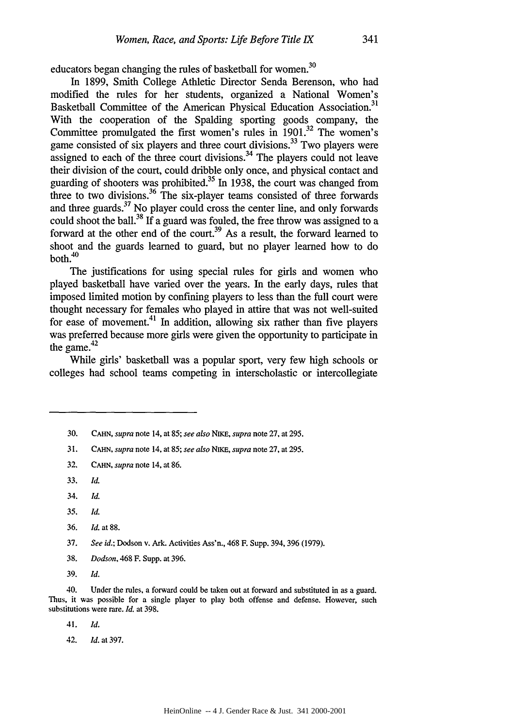educators began changing the rules of basketball for women.<sup>30</sup>

In 1899, Smith College Athletic Director Senda Berenson, who had modified the rules for her students, organized a National Women's Basketball Committee of the American Physical Education Association.<sup>31</sup> With the cooperation of the Spalding sporting goods company, the Committee promulgated the first women's rules in  $1901$ .<sup>32</sup> The women's game consisted of six players and three court divisions.<sup>33</sup> Two players were assigned to each of the three court divisions.<sup>34</sup> The players could not leave their division of the court, could dribble only once, and physical contact and guarding of shooters was prohibited.35 In **1938,** the court was changed from three to two divisions.<sup>36</sup> The six-player teams consisted of three forwards and three guards. $37$  No player could cross the center line, and only forwards could shoot the ball.<sup>38</sup> If a guard was fouled, the free throw was assigned to a forward at the other end of the court.<sup>39</sup> As a result, the forward learned to shoot and the guards learned to guard, but no player learned how to do both.<sup>40</sup>

The justifications for using special rules for girls and women who played basketball have varied over the years. In the early days, rules that imposed limited motion by confining players to less than the full court were thought necessary for females who played in attire that was not well-suited for ease of movement.<sup>41</sup> In addition, allowing six rather than five players was preferred because more girls were given the opportunity to participate in the game. $42$ 

While girls' basketball was a popular sport, very few high schools or colleges had school teams competing in interscholastic or intercollegiate

- 31. CAHN, *supra* note 14, at 85; see also *NiKE, supra* note 27, at 295.
- 32. **CAHN,** *supra* note 14, at 86.
- **33,** *Id.*
- 34. *Id.*
- *35. Id.*
- 36. *Id.* at 88.
- 37. *See id.;* Dodson v. Ark. Activities Ass'n., 468 F. Supp. 394, 396 (1979).
- 38. *Dodson,* 468 F. Supp. at 396.
- 39. *Id.*

40. Under the rules, a forward could be taken out at forward and substituted in as a guard. Thus, it was possible for a single player to play both offense and defense. However, such substitutions were rare. *Id.* at 398.

41. *Id.*

42. *Id.* at 397.

<sup>30.</sup> **CAHN,** *supra* note 14, at 85; *see also NiKE, supra* note 27, at 295.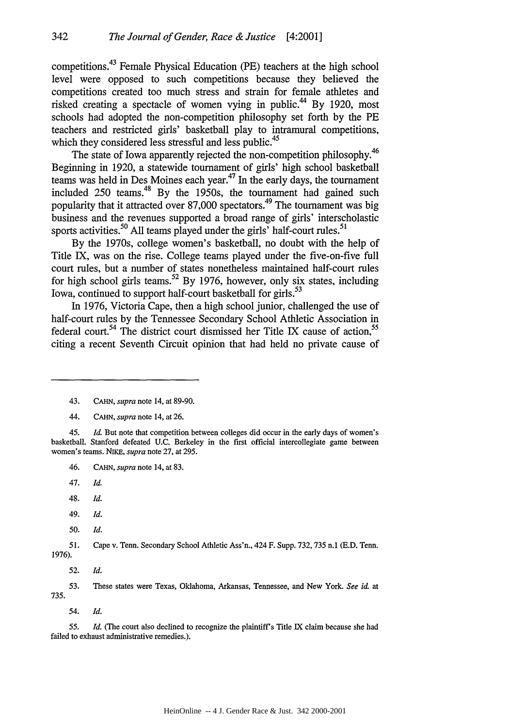competitions.43 Female Physical Education (PE) teachers at the high school level were opposed to such competitions because they believed the competitions created too much stress and strain for female athletes and risked creating a spectacle of women vying in public.<sup>44</sup> By 1920, most schools had adopted the non-competition philosophy set forth by the PE teachers and restricted girls' basketball play to intramural competitions, which they considered less stressful and less public.<sup>45</sup>

The state of Iowa apparently rejected the non-competition philosophy.<sup>46</sup> Beginning in 1920, a statewide tournament of girls' high school basketball teams was held in Des Moines each year.47 In the early days, the tournament included 250 teams.<sup>48</sup> By the 1950s, the tournament had gained such popularity that it attracted over  $87,000$  spectators.<sup>49</sup> The tournament was big business and the revenues supported a broad range of girls' interscholastic sports activities.<sup>50</sup> All teams played under the girls<sup>'</sup> half-court rules.<sup>51</sup>

By the 1970s, college women's basketball, no doubt with the help of Title IX, was on the rise. College teams played under the five-on-five full court rules, but a number of states nonetheless maintained half-court rules for high school girls teams.<sup>52</sup> By 1976, however, only six states, including Iowa, continued to support half-court basketball for girls.<sup>53</sup>

In 1976, Victoria Cape, then a high school junior, challenged the use of half-court rules by the Tennessee Secondary School Athletic Association in federal court.<sup>54</sup> The district court dismissed her Title IX cause of action,<sup>55</sup> citing a recent Seventh Circuit opinion that had held no private cause of

- 46. CAHN, *supra* note 14, at 83.
- 47. *Id.*
- 48. *Id.*
- 49. *Id.*
- *50. Id.*

*51.* Cape v. Tenn. Secondary School Athletic Ass'n., 424 F. Supp. 732, 735 n.1 (E.D. Tenn.

1976).

52. *Id.*

53. These states were Texas, Oklahoma, Arkansas, Tennessee, and New York. *See id.* at 735.

54. *Id.*

55. *Id.* (The court also declined to recognize the plaintiff's Title IX claim because she had failed to exhaust administrative remedies.).

<sup>43.</sup> *CAHN, supra* note 14, at 89-90.

<sup>44.</sup> CAHN, *supra* note 14, at 26.

*<sup>45.</sup> Id.* But note that competition between colleges did occur in the early days of women's basketball. Stanford defeated U.C. Berkeley in the first official intercollegiate game between women's teams. NIKE, *supra* note 27, at **295.**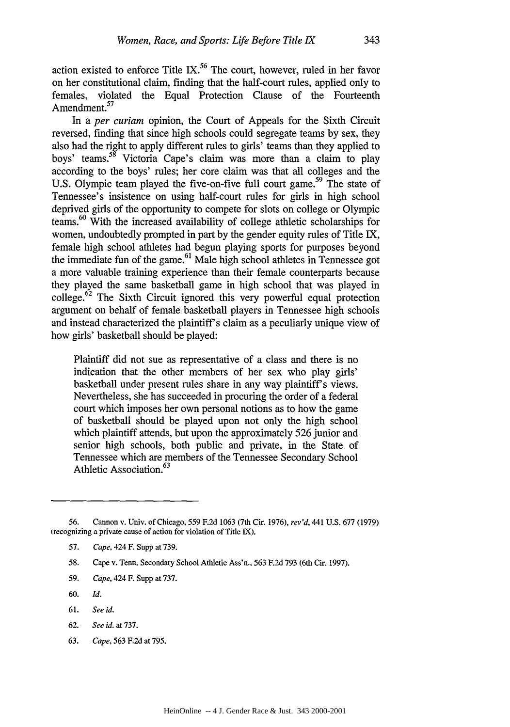action existed to enforce Title **IX.56** The court, however, ruled in her favor on her constitutional claim, finding that the half-court rules, applied only to females, violated the Equal Protection Clause of the Fourteenth Amendment.<sup>57</sup>

In a *per curiam* opinion, the Court of Appeals for the Sixth Circuit reversed, finding that since high schools could segregate teams by sex, they also had the right to apply different rules to girls' teams than they applied to boys' teams.<sup>58</sup> Victoria Cape's claim was more than a claim to play according to the boys' rules; her core claim was that all colleges and the U.S. Olympic team played the five-on-five full court game.<sup>59</sup> The state of Tennessee's insistence on using half-court rules for girls in high school deprived girls of the opportunity to compete for slots on college or Olympic teams.<sup>60</sup> With the increased availability of college athletic scholarships for women, undoubtedly prompted in part by the gender equity rules of Title IX, female high school athletes had begun playing sports for purposes beyond the immediate fun of the game.<sup>61</sup> Male high school athletes in Tennessee got a more valuable training experience than their female counterparts because they played the same basketball game in high school that was played in college. $62$  The Sixth Circuit ignored this very powerful equal protection argument on behalf of female basketball players in Tennessee high schools and instead characterized the plaintiff's claim as a peculiarly unique view of how girls' basketball should be played:

Plaintiff did not sue as representative of a class and there is no indication that the other members of her sex who play girls' basketball under present rules share in any way plaintiff's views. Nevertheless, she has succeeded in procuring the order of a federal court which imposes her own personal notions as to how the game of basketball should be played upon not only the high school which plaintiff attends, but upon the approximately 526 junior and senior high schools, both public and private, in the State of Tennessee which are members of the Tennessee Secondary School Athletic Association.<sup>63</sup>

- **60.** *Id.*
- 61. *See id.*
- **62.** *See id.* at 737.
- **63.** *Cape,* **563 F.2d** at **795.**

**<sup>56.</sup>** Cannon v. Univ. of Chicago, **559 F.2d 1063** (7th Cir. 1976), *rev'd,* 441 U.S. 677 (1979) (recognizing a private cause of action for violation of Title **IX).**

**<sup>57.</sup>** *Cape,* 424 **F.** Supp at **739.**

**<sup>58.</sup>** Cape v. Tenn. Secondary School Athletic Ass'n., **563 F.2d 793** (6th Cir. **1997).**

**<sup>59.</sup>** *Cape,* 424 **F.** Supp at **737.**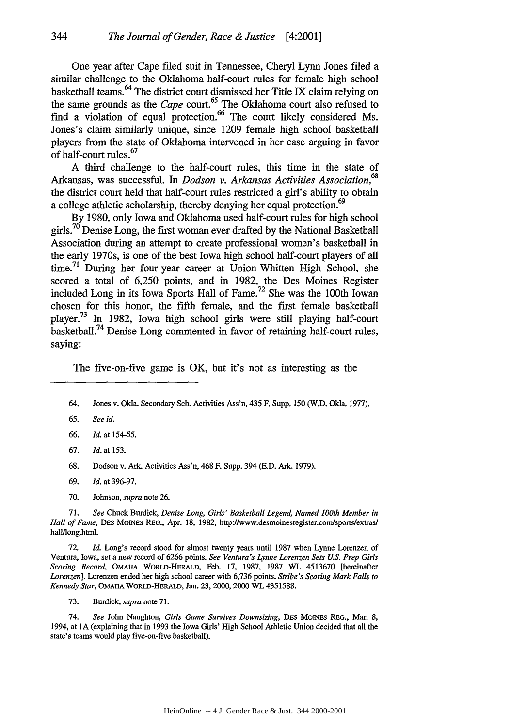One year after Cape filed suit in Tennessee, Cheryl Lynn Jones filed a similar challenge to the Oklahoma half-court rules for female high school basketball teams. 64 The district court dismissed her Title IX claim relying on the same grounds as the *Cape* court.<sup>65</sup> The Oklahoma court also refused to find a violation of equal protection.<sup>66</sup> The court likely considered Ms. Jones's claim similarly unique, since 1209 female high school basketball players from the state of Oklahoma intervened in her case arguing in favor of half-court rules.<sup>67</sup>

A third challenge to the half-court rules, this time in the state of Arkansas, was successful. In *Dodson v. Arkansas Activities Association,68* the district court held that half-court rules restricted a girl's ability to obtain a college athletic scholarship, thereby denying her equal protection.<sup>69</sup>

By 1980, only Iowa and Oklahoma used half-court rules for high school girls.<sup>70</sup> Denise Long, the first woman ever drafted by the National Basketball Association during an attempt to create professional women's basketball in the early 1970s, is one of the best Iowa high school half-court players of all time.<sup>71</sup> During her four-year career at Union-Whitten High School, she scored a total of 6,250 points, and in 1982, the Des Moines Register included Long in its Iowa Sports Hall of Fame.72 She was the 100th Iowan chosen for this honor, the fifth female, and the first female basketball player.73 In 1982, Iowa high school girls were still playing half-court basketball.74 Denise Long commented in favor of retaining half-court rules, saying:

The five-on-five game is OK, but it's not as interesting as the

- *65. See id.*
- 66. *Id.* at 154-55.
- 67. *Id.* at 153.
- 68. Dodson v. Ark. Activities Ass'n, 468 F. Supp. 394 (E.D. Ark. 1979).
- 69. *Id.* at 396-97.
- 70. Johnson, *supra* note 26.

71. See Chuck Burdick, *Denise Long, Girls' Basketball Legend, Named 100th Member in Hall of Fame,* Des MoiNEs REG., Apr. 18, 1982, http://www.desmoinesregister.com/sportslextras/ hall/long.html.

72. *Id.* Long's record stood for almost twenty years until 1987 when Lynne Lorenzen of Ventura, Iowa, set a new record of 6266 points. *See Ventura's Lynne Lorenzen Sets U.S. Prep Girls Scoring Record,* OMAHA WORLD-HERALD, Feb. 17, 1987, 1987 WL 4513670 [hereinafter *Lorenzen].* Lorenzen ended her high school career with 6,736 points. *Stribe's Scoring Mark Falls to Kennedy Star,* OMAHA WORLD-HERALD, Jan. 23, 2000,2000 WL 4351588.

73. Burdick, *supra* note 71.

74. See John Naughton, *Girls Game Survives Downsizing*, DES MOINES REG., Mar. 8, 1994, at **IA** (explaining that in 1993 the Iowa Girls' High School Athletic Union decided that all the state's teams would play five-on-five basketball).

<sup>64.</sup> Jones v. Okla. Secondary Sch. Activities Ass'n, 435 F. Supp. 150 **(W.D.** Okla. 1977).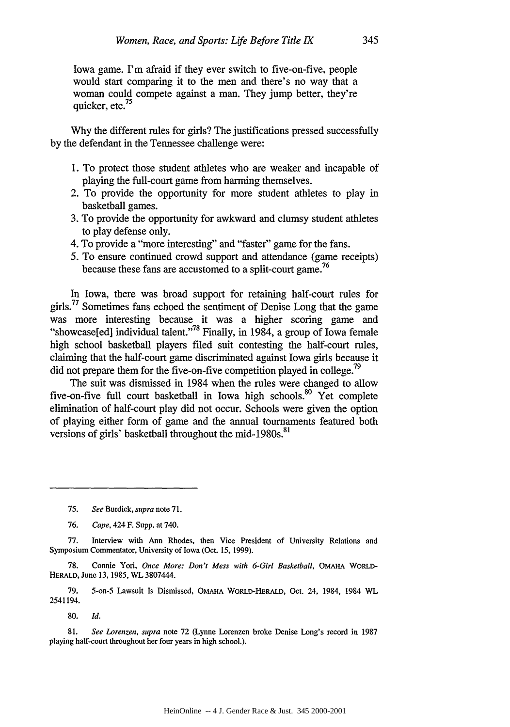Iowa game. I'm afraid if they ever switch to five-on-five, people would start comparing it to the men and there's no way that a woman could compete against a man. They jump better, they're quicker, etc.<sup>75</sup>

Why the different rules for girls? The justifications pressed successfully by the defendant in the Tennessee challenge were:

- 1. To protect those student athletes who are weaker and incapable of playing the full-court game from harming themselves.
- 2. To provide the opportunity for more student athletes to play in basketball games.
- 3. To provide the opportunity for awkward and clumsy student athletes to play defense only.
- 4. To provide a "more interesting" and "faster" game for the fans.
- 5. To ensure continued crowd support and attendance (game receipts) because these fans are accustomed to a split-court game.<sup>76</sup>

In Iowa, there was broad support for retaining half-court rules for girls.<sup>77</sup> Sometimes fans echoed the sentiment of Denise Long that the game was more interesting because it was a higher scoring game and "showcase[ed] individual talent."78 Finally, in 1984, a group of Iowa female high school basketball players filed suit contesting the half-court rules, claiming that the half-court game discriminated against Iowa girls because it did not prepare them for the five-on-five competition played in college.<sup>79</sup>

The suit was dismissed in 1984 when the rules were changed to allow five-on-five full court basketball in Iowa high schools.<sup>80</sup> Yet complete elimination of half-court play did not occur. Schools were given the option of playing either form of game and the annual tournaments featured both versions of girls' basketball throughout the mid-1980s.<sup>81</sup>

78. Connie Yori, *Once More: Don't Mess with 6-Girl Basketball,* OMAHA WORLD-HERALD, June 13, 1985, WL 3807444.

79. 5-on-5 Lawsuit Is Dismissed, **OMAHA** WoRLD-HERALD, Oct. 24, 1984, 1984 WL 2541194.

**80.** *Id.*

**81.** *See Lorenzen, supra* note **72** (Lynne Lorenzen broke Denise Long's record in **1987** playing half-court throughout her four years in high school.).

**<sup>75.</sup>** *See* Burdick, *supra* note 71.

**<sup>76.</sup>** *Cape,* 424 F. Supp. at 740.

<sup>77.</sup> Interview with Ann Rhodes, then Vice President of University Relations and Symposium Commentator. University of Iowa (Oct. 15, 1999).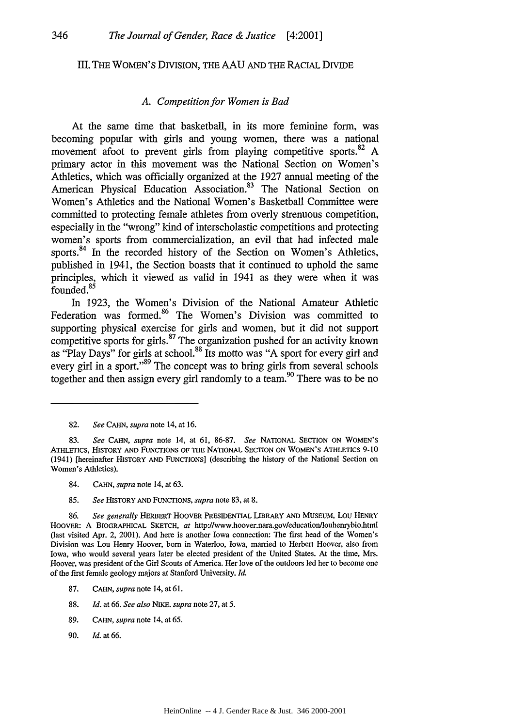#### HI. THE WOMEN'S DIVISIoN, THE AAU AND THE RACIAL DIVIDE

#### *A. Competition for Women is Bad*

At the same time that basketball, in its more feminine form, was becoming popular with girls and young women, there was a national movement afoot to prevent girls from playing competitive sports.<sup>82</sup> A primary actor in this movement was the National Section on Women's Athletics, which was officially organized at the 1927 annual meeting of the American Physical Education Association.<sup>83</sup> The National Section on Women's Athletics and the National Women's Basketball Committee were committed to protecting female athletes from overly strenuous competition, especially in the "wrong" kind of interscholastic competitions and protecting women's sports from commercialization, an evil that had infected male sports.<sup>84</sup> In the recorded history of the Section on Women's Athletics, published in 1941, the Section boasts that it continued to uphold the same principles, which it viewed as valid in 1941 as they were when it was founded.<sup>85</sup>

In 1923, the Women's Division of the National Amateur Athletic Federation was formed.<sup>86</sup> The Women's Division was committed to supporting physical exercise for girls and women, but it did not support competitive sports for girls.<sup>87</sup> The organization pushed for an activity known as "Play Days" for girls at school.<sup>88</sup> Its motto was "A sport for every girl and every girl in a sport."<sup>89</sup> The concept was to bring girls from several schools together and then assign every girl randomly to a team.<sup>90</sup> There was to be no

- 84. CAHN, *supra* note 14, at 63.
- 85. *See* HISTORY **AND** FUNCTIONS, *supra* note 83, at 8.

- 87. CAHN, *supra* note 14, at 61.
- 88. *Id.* at 66. *See also NIKE. supra* note 27, at 5.
- 89. CAHN, *supra* note 14, at 65.
- 90. *Id.* at 66.

<sup>82.</sup> *See* CAHN, *supra* note 14, at 16.

<sup>83.</sup> *See* **CAHN,** *supra* note 14, at 61, 86-87. *See* NATIONAL SECTION **ON** WOMEN'S ATHLETICS, HISTORY AND FUNCTIONS OF THE NATIONAL SECTION ON WOMEN'S ATHLETICS 9-10 (1941) [hereinafter HISTORY AND FUNCTIONS] (describing the history of the National Section on Women's Athletics).

<sup>86.</sup> *See generally* HERBERT HOOVER PRESIDENTIAL LIBRARY **AND MUSEUM,** LOU HENRY HOOVER: A BIOGRAPHICAL SKETCH, at http://www.hoover.nara.gov/education/louhenrybio.html (last visited Apr. 2, 2001). And here is another Iowa connection: The first head of the Women's Division was Lou Henry Hoover, born in Waterloo, Iowa, married to Herbert Hoover, also from Iowa, who would several years later be elected president of the United States. At the time, Mrs. Hoover, was president of the Girl Scouts of America. Her love of the outdoors led her to become one of the first female geology majors at Stanford University. *Id.*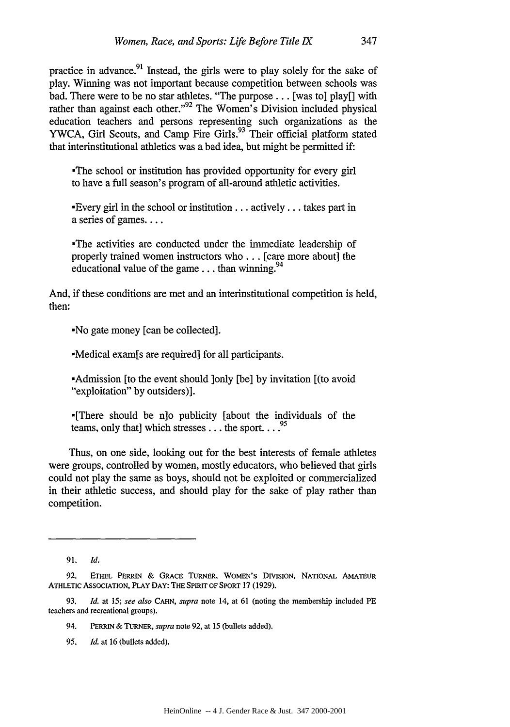practice in advance.<sup>91</sup> Instead, the girls were to play solely for the sake of play. Winning was not important because competition between schools was bad. There were to be no star athletes. "The purpose... [was to] play[] with rather than against each other."<sup>92</sup> The Women's Division included physical education teachers and persons representing such organizations as the YWCA, Girl Scouts, and Camp Fire Girls.<sup>93</sup> Their official platform stated that interinstitutional athletics was a bad idea, but might be permitted if:

-The school or institution has provided opportunity for every girl to have a full season's program of all-around athletic activities.

Every girl in the school or institution... actively... takes part in a series of games....

-The activities are conducted under the immediate leadership of properly trained women instructors who **...** [care more about] the educational value of the game... than winning.  $94$ 

And, if these conditions are met and an interinstitutional competition is held, then:

.No gate money [can be collected].

-Medical exam[s are required] for all participants.

-Admission [to the event should ]only [be] by invitation [(to avoid "exploitation" by outsiders)].

-[There should be n]o publicity [about the individuals of the teams, only that] which stresses  $\dots$  the sport  $\dots$ <sup>95</sup>

Thus, on one side, looking out for the best interests of female athletes were groups, controlled by women, mostly educators, who believed that girls could not play the same as boys, should not be exploited or commercialized in their athletic success, and should play for the sake of play rather than competition.

**95.** *Id.* at **16** (bullets added).

**<sup>91.</sup>** *Id.*

**<sup>92.</sup> ETHEL** PERRIN **&** GRAcE TURNER, WOMEN'S **DIVISION, NATIONAL** AMATEUR ATHLETIc ASSOCIATION, PLAY **DAY:** THE **SPIRIT** OF SPORT **17 (1929).**

**<sup>93.</sup>** *Id.* at *15; see also* **CAHN,** *supra* note 14, at **61** (noting the membership included PE teachers and recreational groups).

<sup>94.</sup> PERRIN *&* TURNER, *supra* note 92, at **15** (bullets added).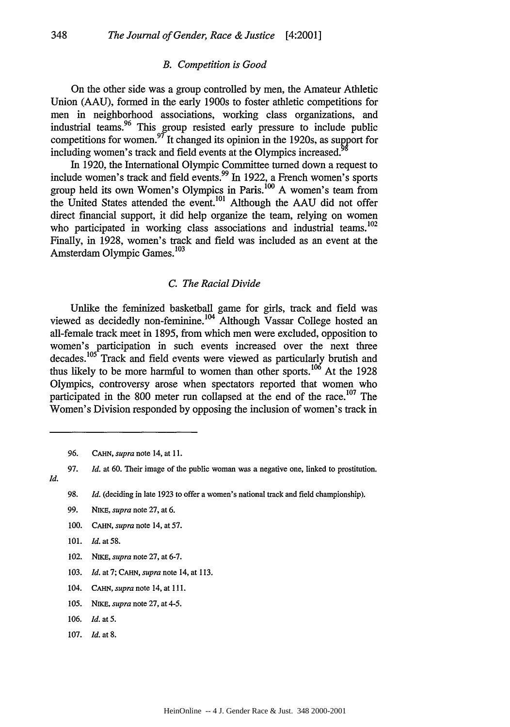#### *B. Competition is Good*

On the other side was a group controlled by men, the Amateur Athletic Union (AAU), formed in the early 1900s to foster athletic competitions for men in neighborhood associations, working class organizations, and industrial teams.<sup>96</sup> This group resisted early pressure to include public competitions for women.<sup>97</sup> It changed its opinion in the 1920s, as support for including women's track and field events at the Olympics increased.

In 1920, the International Olympic Committee turned down a request to include women's track and field events.<sup>99</sup> In 1922, a French women's sports group held its own Women's Olympics in Paris.  $^{100}$  A women's team from the United States attended the event.<sup>101</sup> Although the AAU did not offer direct financial support, it did help organize the team, relying on women who participated in working class associations and industrial teams.  $^{102}$ Finally, in 1928, women's track and field was included as an event at the Amsterdam Olympic Games.<sup>103</sup>

#### *C. The Racial Divide*

Unlike the feminized basketball game for girls, track and field was viewed as decidedly non-feminine.<sup>104</sup> Although Vassar College hosted an all-female track meet in 1895, from which men were excluded, opposition to women's participation in such events increased over the next three decades.105 Track and field events were viewed as particularly brutish and thus likely to be more harmful to women than other sports.<sup>106</sup> At the 1928 Olympics, controversy arose when spectators reported that women who participated in the 800 meter run collapsed at the end of the race.<sup>107</sup> The

*Id.*

- 99. NIKE, *supra* note 27, at 6.
- 100. *CAHN, supra* note 14, at 57.
- 101. *Id.* at **58.**
- 102. NIKE, *supra* note 27, at 6-7.
- **103.** *Id.* at 7; CAHN, *supra* note 14, at **113.**
- 104. *CAHN, supra* note 14, at **111.**
- *105. NiKE, supra* note 27, at *4-5.*
- **106.** *Id.* at **5.**
- 107. *Id.* at 8.

<sup>96.</sup> **CAHN,** *supra* note 14, at 11.

<sup>97.</sup> *Id.* at 60. Their image of the public woman was a negative one, linked to prostitution.

<sup>98.</sup> *Id.* (deciding in late 1923 to offer a women's national track and field championship).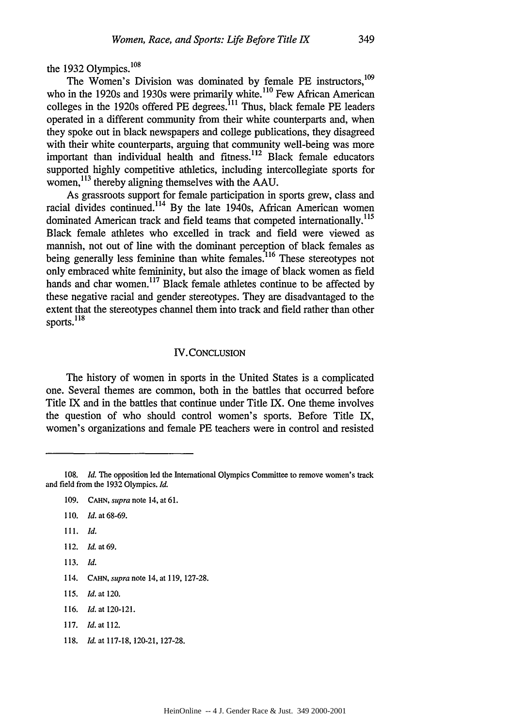the 1932 Olympics. $108$ 

The Women's Division was dominated by female PE instructors,<sup>109</sup> who in the 1920s and 1930s were primarily white.<sup>110</sup> Few African American colleges in the 1920s offered PE degrees.<sup>11</sup> Thus, black female PE leaders operated in a different community from their white counterparts and, when they spoke out in black newspapers and college publications, they disagreed with their white counterparts, arguing that community well-being was more important than individual health and fitness.<sup>112</sup> Black female educators supported highly competitive athletics, including intercollegiate sports for women, <sup>113</sup> thereby aligning themselves with the AAU.

As grassroots support for female participation in sports grew, class and racial divides continued.<sup>114</sup> By the late 1940s, African American women dominated American track and field teams that competed internationally.<sup>115</sup> Black female athletes who excelled in track and field were viewed as mannish, not out of line with the dominant perception of black females as being generally less feminine than white females.<sup>116</sup> These stereotypes not only embraced white femininity, but also the image of black women as field hands and char women.<sup>117</sup> Black female athletes continue to be affected by these negative racial and gender stereotypes. They are disadvantaged to the extent that the stereotypes channel them into track and field rather than other sports. **18**

# IV.CONCLUSION

The history of women in sports in the United States is a complicated one. Several themes are common, both in the battles that occurred before Title IX and in the battles that continue under Title IX. One theme involves the question of who should control women's sports. Before Title IX, women's organizations and female PE teachers were in control and resisted

111. Id.

113. Id.

- 116. *Id.* at 120-121.
- 117. *Id.* at 112.
- 118. *Id.* at 117-18, 120-21, 127-28.

<sup>108.</sup> *Id.* The opposition led the International Olympics Committee to remove women's track and field from the 1932 Olympics. *Id.*

<sup>109.</sup> CAHN, *supra* note 14, at 61.

<sup>110.</sup> *Id.* at 68-69.

<sup>112.</sup> *Id.* at **69.**

<sup>114.</sup> *CAHN, supra* note 14, at 119, 127-28.

*<sup>115.</sup> Id.* at 120.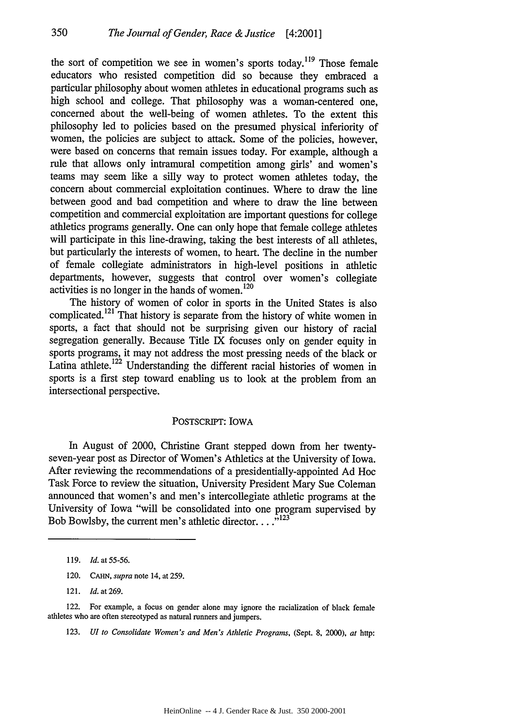350

the sort of competition we see in women's sports today.<sup>119</sup> Those female educators who resisted competition did so because they embraced a particular philosophy about women athletes in educational programs such as high school and college. That philosophy was a woman-centered one, concerned about the well-being of women athletes. To the extent this philosophy led to policies based on the presumed physical inferiority of women, the policies are subject to attack. Some of the policies, however, were based on concerns that remain issues today. For example, although a rule that allows only intramural competition among girls' and women's teams may seem like a silly way to protect women athletes today, the concern about commercial exploitation continues. Where to draw the line between good and bad competition and where to draw the line between competition and commercial exploitation are important questions for college athletics programs generally. One can only hope that female college athletes will participate in this line-drawing, taking the best interests of all athletes. but particularly the interests of women, to heart. The decline in the number of female collegiate administrators in high-level positions in athletic departments, however, suggests that control over women's collegiate 120 activities is no longer in the hands of women.<sup>120</sup>

The history of women of color in sports in the United States is also complicated.<sup>121</sup> That history is separate from the history of white women in sports, a fact that should not be surprising given our history of racial segregation generally. Because Title IX focuses only on gender equity in sports programs, it may not address the most pressing needs of the black or Latina athlete.<sup>122</sup> Understanding the different racial histories of women in sports is a first step toward enabling us to look at the problem from an intersectional perspective.

## POSTSCRIPT: IOWA

In August of 2000, Christine Grant stepped down from her twentyseven-year post as Director of Women's Athletics at the University of Iowa. After reviewing the recommendations of a presidentially-appointed Ad Hoc Task Force to review the situation, University President Mary Sue Coleman announced that women's and men's intercollegiate athletic programs at the University of Iowa "will be consolidated into one program supervised by Bob Bowlsby, the current men's athletic director.... $^{123}$ 

120. CAHN, *supra* note 14, at **259.**

123. *U! to Consolidate Women's and Men's Athletic Programs,* (Sept. 8, 2000), *at* http:

<sup>119.</sup> *Id.* at 55-56.

<sup>121.</sup> Id.at269.

<sup>122.</sup> For example, a focus on gender alone may ignore the racialization of black female athletes who are often stereotyped as natural runners and jumpers.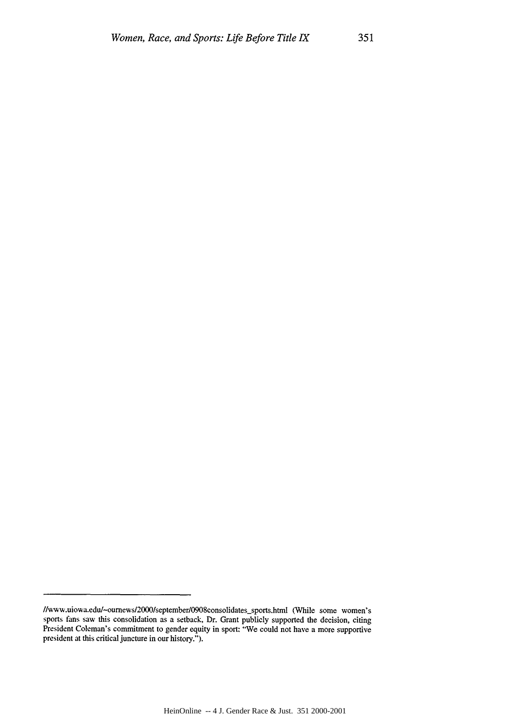<sup>//</sup>www.uiowa.edu/~ournews/2000/september/0908consolidates\_sports.html (While some women's sports fans saw this consolidation as a setback, Dr. Grant publicly supported the decision, citing President Coleman's commitment to gender equity in sport: "We could not have a more supportive president at this critical juncture in our history.").